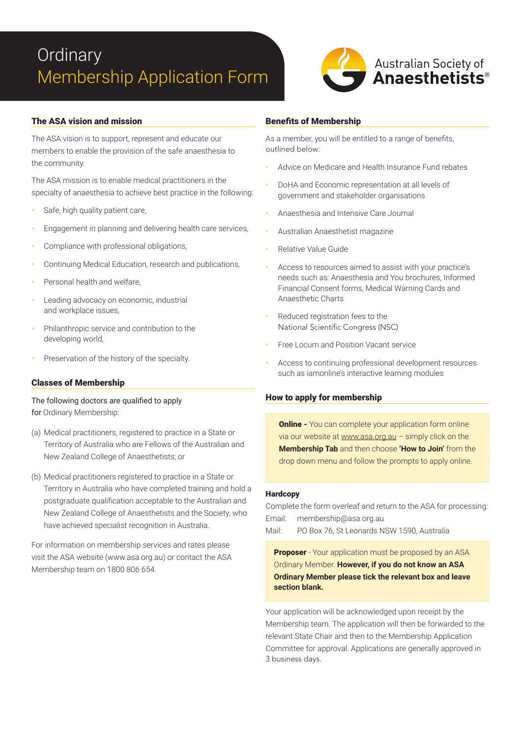# **Ordinary** Membership Application Form



### The ASA vision and mission

The ASA vision is to support, represent and educate our members to enable the provision of the safe anaesthesia to the community.

The ASA mission is to enable medical practitioners in the specialty of anaesthesia to achieve best practice in the following:

- Safe, high quality patient care,
- Engagement in planning and delivering health care services,
- Compliance with professional obligations,
- Continuing Medical Education, research and publications,
- Personal health and welfare,
- Leading advocacy on economic, industrial and workplace issues,
- Philanthropic service and contribution to the developing world,
- Preservation of the history of the specialty.

#### Classes of Membership

The following doctors are qualified to apply for Ordinary Membership:

- (a) Medical practitioners, registered to practice in a State or Territory of Australia who are Fellows of the Australian and New Zealand College of Anaesthetists; or
- (b) Medical practitioners registered to practice in a State or Territory in Australia who have completed training and hold a postgraduate qualification acceptable to the Australian and New Zealand College of Anaesthetists and the Society, who have achieved specialist recognition in Australia.

For information on membership services and rates please visit the ASA website (www.asa.org.au) or contact the ASA Membership team on 1800 806 654.

#### Benefits of Membership

As a member, you will be entitled to a range of benefits, outlined below:

- Advice on Medicare and Health Insurance Fund rebates
- DoHA and Economic representation at all levels of government and stakeholder organisations
- Anaesthesia and Intensive Care Journal
- Australian Anaesthetist magazine
- Relative Value Guide
- Access to resources aimed to assist with your practice's needs such as: Anaesthesia and You brochures, Informed Financial Consent forms, Medical Warning Cards and Anaesthetic Charts
- Reduced registration fees to the National Scientific Congress (NSC)
- Free Locum and Position Vacant service
- Access to continuing professional development resources such as iamonline's interactive learning modules

#### How to apply for membership

**Online -** You can complete your application form online via our website at www.asa.org.au – simply click on the **Membership Tab** and then choose **'How to Join'** from the drop down menu and follow the prompts to apply online.

#### **Hardcopy**

Complete the form overleaf and return to the ASA for processing: Email: membership@asa.org.au

Mail: PO Box 76, St Leonards NSW 1590, Australia

**Proposer** - Your application must be proposed by an ASA Ordinary Member. **However, if you do not know an ASA Ordinary Member please tick the relevant box and leave section blank.**

Your application will be acknowledged upon receipt by the Membership team. The application will then be forwarded to the relevant State Chair and then to the Membership Application Committee for approval. Applications are generally approved in 3 business days.